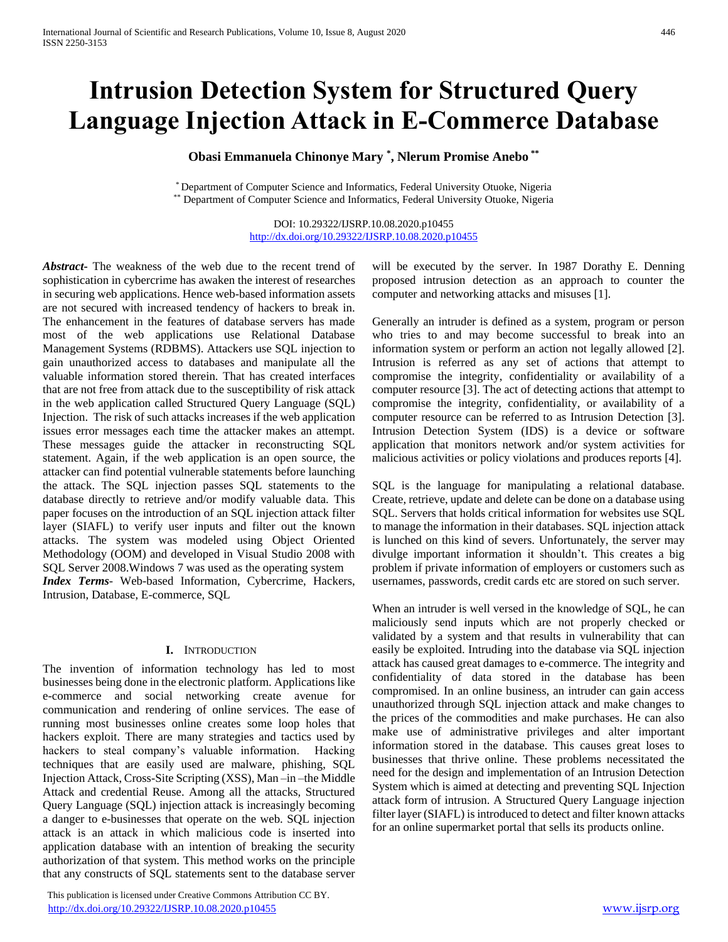## **Intrusion Detection System for Structured Query Language Injection Attack in E-Commerce Database**

## **Obasi Emmanuela Chinonye Mary \* , Nlerum Promise Anebo \*\***

\* Department of Computer Science and Informatics, Federal University Otuoke, Nigeria \*\* Department of Computer Science and Informatics, Federal University Otuoke, Nigeria

> DOI: 10.29322/IJSRP.10.08.2020.p10455 <http://dx.doi.org/10.29322/IJSRP.10.08.2020.p10455>

*Abstract***-** The weakness of the web due to the recent trend of sophistication in cybercrime has awaken the interest of researches in securing web applications. Hence web-based information assets are not secured with increased tendency of hackers to break in. The enhancement in the features of database servers has made most of the web applications use Relational Database Management Systems (RDBMS). Attackers use SQL injection to gain unauthorized access to databases and manipulate all the valuable information stored therein. That has created interfaces that are not free from attack due to the susceptibility of risk attack in the web application called Structured Query Language (SQL) Injection. The risk of such attacks increases if the web application issues error messages each time the attacker makes an attempt. These messages guide the attacker in reconstructing SQL statement. Again, if the web application is an open source, the attacker can find potential vulnerable statements before launching the attack. The SQL injection passes SQL statements to the database directly to retrieve and/or modify valuable data. This paper focuses on the introduction of an SQL injection attack filter layer (SIAFL) to verify user inputs and filter out the known attacks. The system was modeled using Object Oriented Methodology (OOM) and developed in Visual Studio 2008 with SQL Server 2008.Windows 7 was used as the operating system *Index Terms*- Web-based Information, Cybercrime, Hackers,

Intrusion, Database, E-commerce, SQL

#### **I.** INTRODUCTION

The invention of information technology has led to most businesses being done in the electronic platform. Applications like e-commerce and social networking create avenue for communication and rendering of online services. The ease of running most businesses online creates some loop holes that hackers exploit. There are many strategies and tactics used by hackers to steal company's valuable information. Hacking techniques that are easily used are malware, phishing, SQL Injection Attack, Cross-Site Scripting (XSS), Man –in –the Middle Attack and credential Reuse. Among all the attacks, Structured Query Language (SQL) injection attack is increasingly becoming a danger to e-businesses that operate on the web. SQL injection attack is an attack in which malicious code is inserted into application database with an intention of breaking the security authorization of that system. This method works on the principle that any constructs of SQL statements sent to the database server

 This publication is licensed under Creative Commons Attribution CC BY. <http://dx.doi.org/10.29322/IJSRP.10.08.2020.p10455> [www.ijsrp.org](http://ijsrp.org/)

will be executed by the server. In 1987 Dorathy E. Denning proposed intrusion detection as an approach to counter the computer and networking attacks and misuses [1].

Generally an intruder is defined as a system, program or person who tries to and may become successful to break into an information system or perform an action not legally allowed [2]. Intrusion is referred as any set of actions that attempt to compromise the integrity, confidentiality or availability of a computer resource [3]. The act of detecting actions that attempt to compromise the integrity, confidentiality, or availability of a computer resource can be referred to as Intrusion Detection [3]. Intrusion Detection System (IDS) is a device or software application that monitors network and/or system activities for malicious activities or policy violations and produces reports [4].

SQL is the language for manipulating a relational database. Create, retrieve, update and delete can be done on a database using SQL. Servers that holds critical information for websites use SQL to manage the information in their databases. SQL injection attack is lunched on this kind of severs. Unfortunately, the server may divulge important information it shouldn't. This creates a big problem if private information of employers or customers such as usernames, passwords, credit cards etc are stored on such server.

When an intruder is well versed in the knowledge of SQL, he can maliciously send inputs which are not properly checked or validated by a system and that results in vulnerability that can easily be exploited. Intruding into the database via SQL injection attack has caused great damages to e-commerce. The integrity and confidentiality of data stored in the database has been compromised. In an online business, an intruder can gain access unauthorized through SQL injection attack and make changes to the prices of the commodities and make purchases. He can also make use of administrative privileges and alter important information stored in the database. This causes great loses to businesses that thrive online. These problems necessitated the need for the design and implementation of an Intrusion Detection System which is aimed at detecting and preventing SQL Injection attack form of intrusion. A Structured Query Language injection filter layer (SIAFL) is introduced to detect and filter known attacks for an online supermarket portal that sells its products online.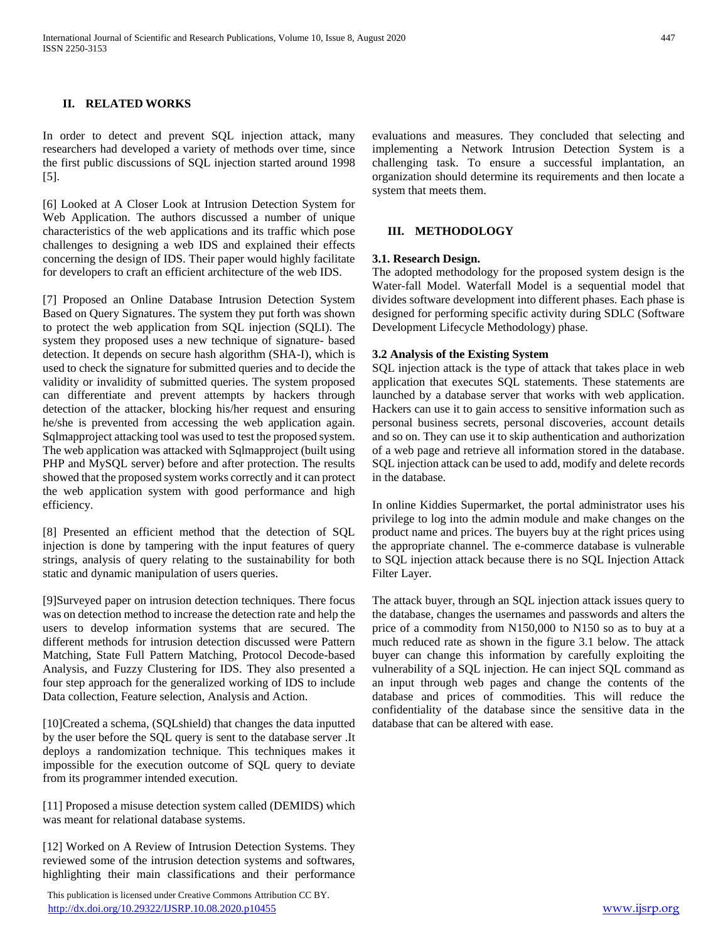#### **II. RELATED WORKS**

In order to detect and prevent SQL injection attack, many researchers had developed a variety of methods over time, since the first public discussions of SQL injection started around 1998 [5].

[6] Looked at A Closer Look at Intrusion Detection System for Web Application. The authors discussed a number of unique characteristics of the web applications and its traffic which pose challenges to designing a web IDS and explained their effects concerning the design of IDS. Their paper would highly facilitate for developers to craft an efficient architecture of the web IDS.

[7] Proposed an Online Database Intrusion Detection System Based on Query Signatures. The system they put forth was shown to protect the web application from SQL injection (SQLI). The system they proposed uses a new technique of signature- based detection. It depends on secure hash algorithm (SHA-I), which is used to check the signature for submitted queries and to decide the validity or invalidity of submitted queries. The system proposed can differentiate and prevent attempts by hackers through detection of the attacker, blocking his/her request and ensuring he/she is prevented from accessing the web application again. Sqlmapproject attacking tool was used to test the proposed system. The web application was attacked with Sqlmapproject (built using PHP and MySQL server) before and after protection. The results showed that the proposed system works correctly and it can protect the web application system with good performance and high efficiency.

[8] Presented an efficient method that the detection of SQL injection is done by tampering with the input features of query strings, analysis of query relating to the sustainability for both static and dynamic manipulation of users queries.

[9]Surveyed paper on intrusion detection techniques. There focus was on detection method to increase the detection rate and help the users to develop information systems that are secured. The different methods for intrusion detection discussed were Pattern Matching, State Full Pattern Matching, Protocol Decode-based Analysis, and Fuzzy Clustering for IDS. They also presented a four step approach for the generalized working of IDS to include Data collection, Feature selection, Analysis and Action.

[10]Created a schema, (SQLshield) that changes the data inputted by the user before the SQL query is sent to the database server .It deploys a randomization technique. This techniques makes it impossible for the execution outcome of SQL query to deviate from its programmer intended execution.

[11] Proposed a misuse detection system called (DEMIDS) which was meant for relational database systems.

[12] Worked on A Review of Intrusion Detection Systems. They reviewed some of the intrusion detection systems and softwares, highlighting their main classifications and their performance

 This publication is licensed under Creative Commons Attribution CC BY. <http://dx.doi.org/10.29322/IJSRP.10.08.2020.p10455> [www.ijsrp.org](http://ijsrp.org/)

evaluations and measures. They concluded that selecting and implementing a Network Intrusion Detection System is a challenging task. To ensure a successful implantation, an organization should determine its requirements and then locate a system that meets them.

#### **III. METHODOLOGY**

#### **3.1. Research Design.**

The adopted methodology for the proposed system design is the Water-fall Model. Waterfall Model is a sequential model that divides software development into different phases. Each phase is designed for performing specific activity during SDLC (Software Development Lifecycle Methodology) phase.

#### **3.2 Analysis of the Existing System**

SQL injection attack is the type of attack that takes place in web application that executes SQL statements. These statements are launched by a database server that works with web application. Hackers can use it to gain access to sensitive information such as personal business secrets, personal discoveries, account details and so on. They can use it to skip authentication and authorization of a web page and retrieve all information stored in the database. SQL injection attack can be used to add, modify and delete records in the database.

In online Kiddies Supermarket, the portal administrator uses his privilege to log into the admin module and make changes on the product name and prices. The buyers buy at the right prices using the appropriate channel. The e-commerce database is vulnerable to SQL injection attack because there is no SQL Injection Attack Filter Layer.

The attack buyer, through an SQL injection attack issues query to the database, changes the usernames and passwords and alters the price of a commodity from N150,000 to N150 so as to buy at a much reduced rate as shown in the figure 3.1 below. The attack buyer can change this information by carefully exploiting the vulnerability of a SQL injection. He can inject SQL command as an input through web pages and change the contents of the database and prices of commodities. This will reduce the confidentiality of the database since the sensitive data in the database that can be altered with ease.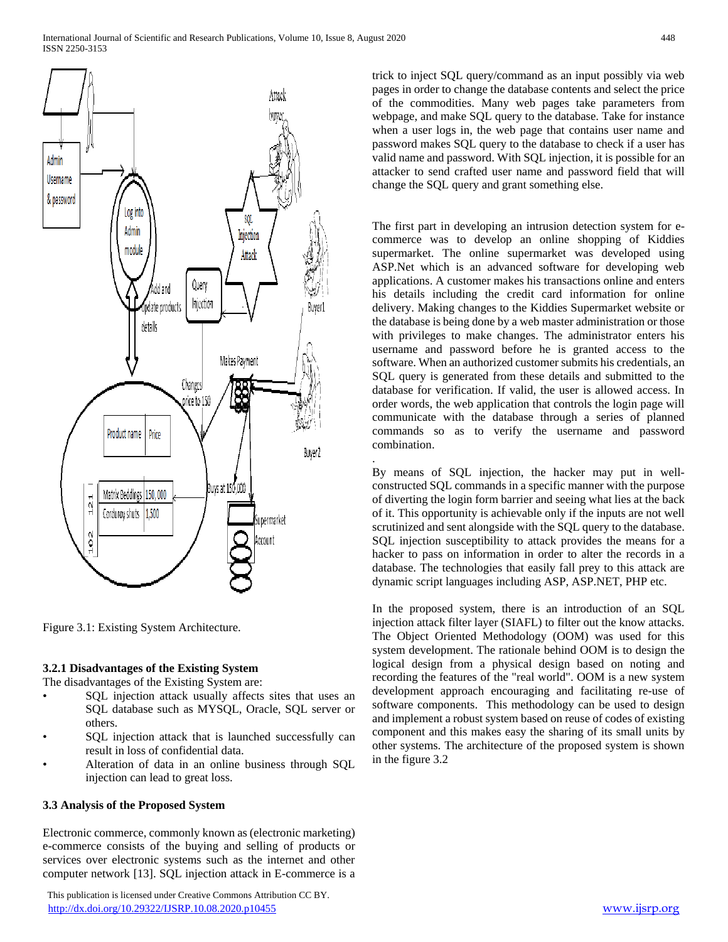

Figure 3.1: Existing System Architecture.

### **3.2.1 Disadvantages of the Existing System**

The disadvantages of the Existing System are:

- SQL injection attack usually affects sites that uses an SQL database such as MYSQL, Oracle, SQL server or others.
- SQL injection attack that is launched successfully can result in loss of confidential data.
- Alteration of data in an online business through SQL injection can lead to great loss.

### **3.3 Analysis of the Proposed System**

Electronic commerce, commonly known as (electronic marketing) e-commerce consists of the buying and selling of products or services over electronic systems such as the internet and other computer network [13]. SQL injection attack in E-commerce is a

 This publication is licensed under Creative Commons Attribution CC BY. <http://dx.doi.org/10.29322/IJSRP.10.08.2020.p10455> [www.ijsrp.org](http://ijsrp.org/)

trick to inject SQL query/command as an input possibly via web pages in order to change the database contents and select the price of the commodities. Many web pages take parameters from webpage, and make SQL query to the database. Take for instance when a user logs in, the web page that contains user name and password makes SQL query to the database to check if a user has valid name and password. With SQL injection, it is possible for an attacker to send crafted user name and password field that will change the SQL query and grant something else.

The first part in developing an intrusion detection system for ecommerce was to develop an online shopping of Kiddies supermarket. The online supermarket was developed using ASP.Net which is an advanced software for developing web applications. A customer makes his transactions online and enters his details including the credit card information for online delivery. Making changes to the Kiddies Supermarket website or the database is being done by a web master administration or those with privileges to make changes. The administrator enters his username and password before he is granted access to the software. When an authorized customer submits his credentials, an SQL query is generated from these details and submitted to the database for verification. If valid, the user is allowed access. In order words, the web application that controls the login page will communicate with the database through a series of planned commands so as to verify the username and password combination.

By means of SQL injection, the hacker may put in wellconstructed SQL commands in a specific manner with the purpose of diverting the login form barrier and seeing what lies at the back of it. This opportunity is achievable only if the inputs are not well scrutinized and sent alongside with the SQL query to the database. SQL injection susceptibility to attack provides the means for a hacker to pass on information in order to alter the records in a database. The technologies that easily fall prey to this attack are dynamic script languages including ASP, ASP.NET, PHP etc.

.

In the proposed system, there is an introduction of an SQL injection attack filter layer (SIAFL) to filter out the know attacks. The Object Oriented Methodology (OOM) was used for this system development. The rationale behind OOM is to design the logical design from a physical design based on noting and recording the features of the "real world". OOM is a new system development approach encouraging and facilitating re-use of software components. This methodology can be used to design and implement a robust system based on reuse of codes of existing component and this makes easy the sharing of its small units by other systems. The architecture of the proposed system is shown in the figure 3.2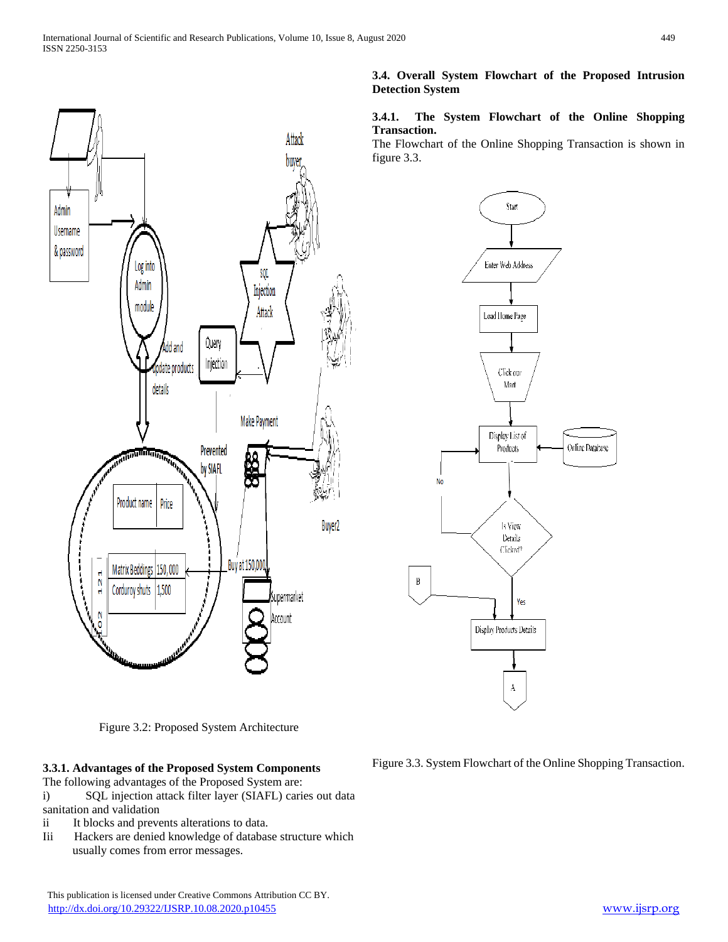

Figure 3.2: Proposed System Architecture

### **3.3.1. Advantages of the Proposed System Components**

The following advantages of the Proposed System are:

i) SQL injection attack filter layer (SIAFL) caries out data sanitation and validation

- ii It blocks and prevents alterations to data.
- Iii Hackers are denied knowledge of database structure which usually comes from error messages.

## **3.4. Overall System Flowchart of the Proposed Intrusion Detection System**

### **3.4.1. The System Flowchart of the Online Shopping Transaction.**

The Flowchart of the Online Shopping Transaction is shown in figure 3.3.



Figure 3.3. System Flowchart of the Online Shopping Transaction.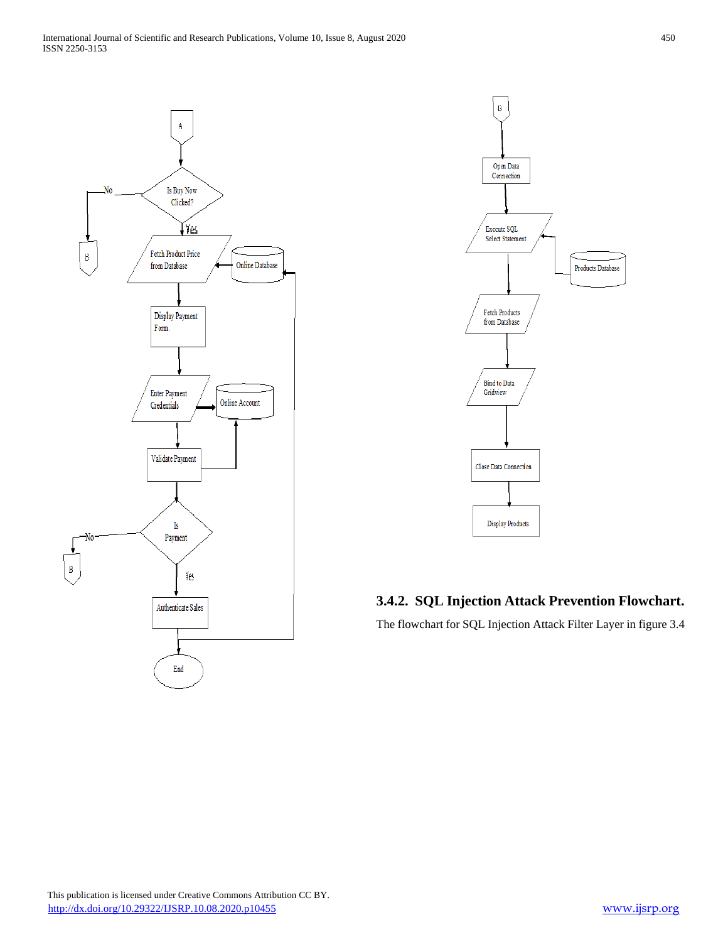



## **3.4.2. SQL Injection Attack Prevention Flowchart.**

The flowchart for SQL Injection Attack Filter Layer in figure 3.4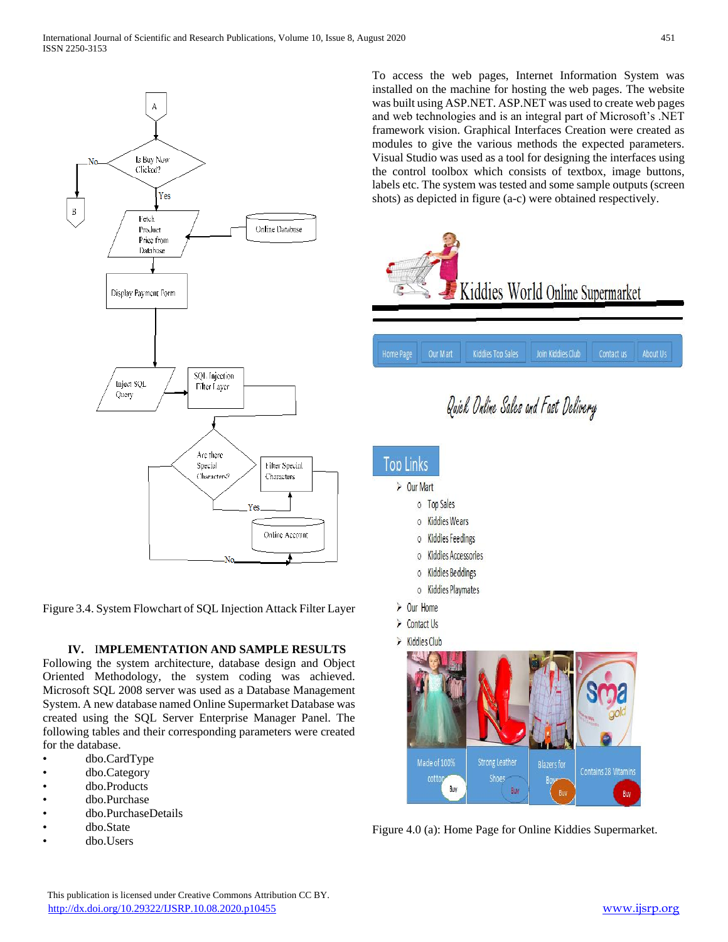

Figure 3.4. System Flowchart of SQL Injection Attack Filter Layer

### **IV.** I**MPLEMENTATION AND SAMPLE RESULTS**

Following the system architecture, database design and Object Oriented Methodology, the system coding was achieved. Microsoft SQL 2008 server was used as a Database Management System. A new database named Online Supermarket Database was created using the SQL Server Enterprise Manager Panel. The following tables and their corresponding parameters were created for the database.

- dbo.CardType
- dbo.Category
- dbo.Products
- dbo.Purchase
- dbo.PurchaseDetails
- dbo.State
- dbo.Users

To access the web pages, Internet Information System was installed on the machine for hosting the web pages. The website was built using ASP.NET. ASP.NET was used to create web pages and web technologies and is an integral part of Microsoft's .NET framework vision. Graphical Interfaces Creation were created as modules to give the various methods the expected parameters. Visual Studio was used as a tool for designing the interfaces using the control toolbox which consists of textbox, image buttons, labels etc. The system was tested and some sample outputs (screen shots) as depicted in figure (a-c) were obtained respectively.



Figure 4.0 (a): Home Page for Online Kiddies Supermarket.

Buy

**Strong Leather** 

**Shoes** 

Made of 100%

**Buy** 

cott

Contains 28 Vitamins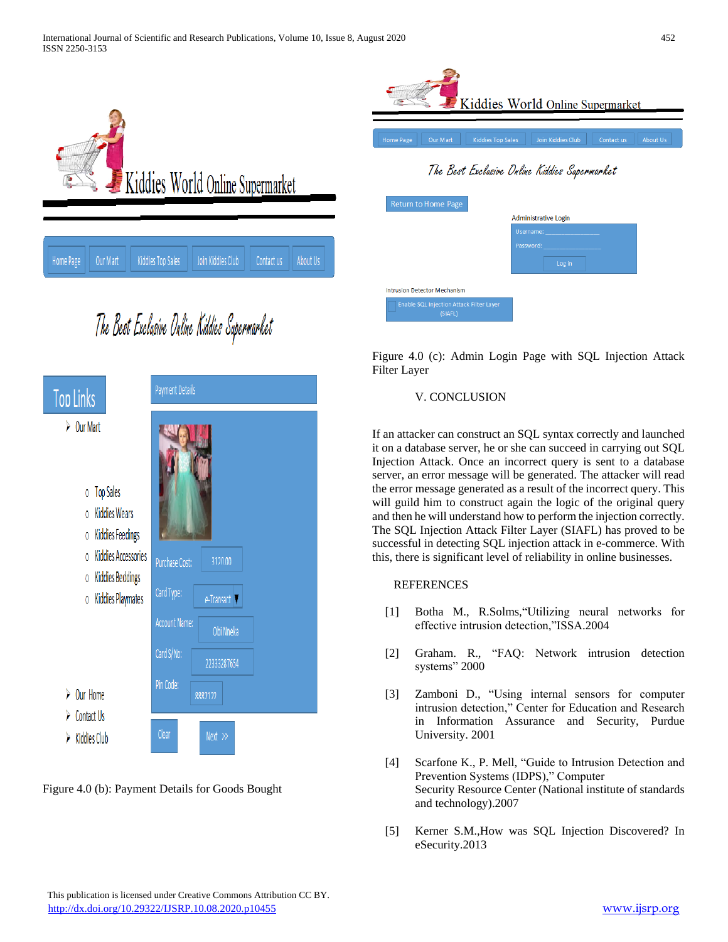

# The Best Exclusive Online Kiddies Supermarket



Figure 4.0 (b): Payment Details for Goods Bought



| <b>Return to Home Page</b>                          |                      |
|-----------------------------------------------------|----------------------|
|                                                     | Administrative Login |
|                                                     | Username:            |
|                                                     | Password:            |
|                                                     | Log in               |
| <b>Intrusion Detector Mechanism</b>                 |                      |
| Enable SQL Injection Attack Filter Layer<br>(SIAFL) |                      |

Figure 4.0 (c): Admin Login Page with SQL Injection Attack Filter Layer

## V. CONCLUSION

If an attacker can construct an SQL syntax correctly and launched it on a database server, he or she can succeed in carrying out SQL Injection Attack. Once an incorrect query is sent to a database server, an error message will be generated. The attacker will read the error message generated as a result of the incorrect query. This will guild him to construct again the logic of the original query and then he will understand how to perform the injection correctly. The SQL Injection Attack Filter Layer (SIAFL) has proved to be successful in detecting SQL injection attack in e-commerce. With this, there is significant level of reliability in online businesses.

## **REFERENCES**

- [1] Botha M., R.Solms,"Utilizing neural networks for effective intrusion detection,"ISSA.2004
- [2] Graham. R., "FAQ: Network intrusion detection systems" 2000
- [3] Zamboni D., "Using internal sensors for computer intrusion detection," Center for Education and Research in Information Assurance and Security, Purdue University. 2001
- [4] Scarfone K., P. Mell, "Guide to Intrusion Detection and Prevention Systems (IDPS)," Computer Security Resource Center (National institute of standards and technology).2007
- [5] Kerner S.M.,How was SQL Injection Discovered? In eSecurity.2013